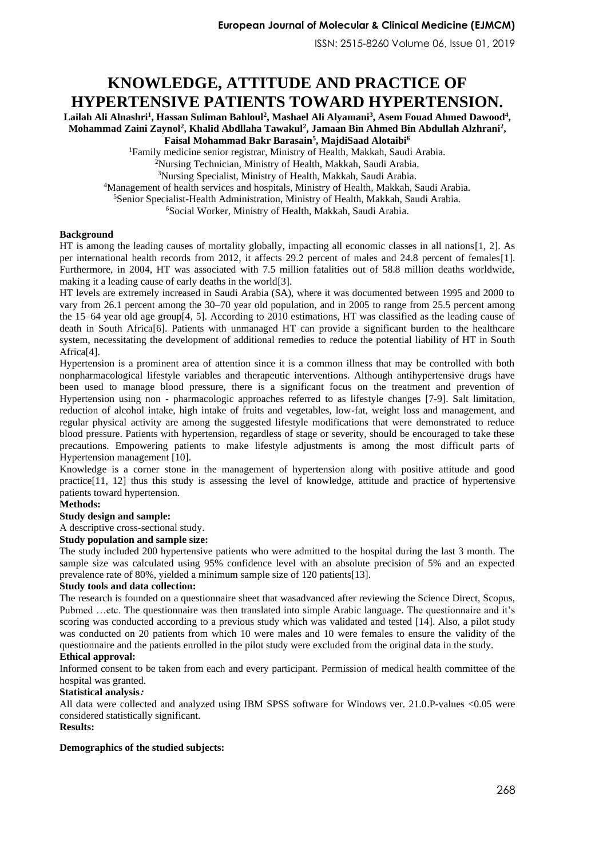ISSN: 2515-8260 Volume 06, Issue 01, 2019

# **KNOWLEDGE, ATTITUDE AND PRACTICE OF HYPERTENSIVE PATIENTS TOWARD HYPERTENSION.**

 $L$ ailah Ali Alnashri<sup>1</sup>, Hassan Suliman Bahloul<sup>2</sup>, Mashael Ali Alyamani<sup>3</sup>, Asem Fouad Ahmed Dawood<sup>4</sup>, **Mohammad Zaini Zaynol<sup>2</sup> , Khalid Abdllaha Tawakul<sup>2</sup> , Jamaan Bin Ahmed Bin Abdullah Alzhrani<sup>2</sup> , Faisal Mohammad Bakr Barasain<sup>5</sup> , MajdiSaad Alotaibi<sup>6</sup>**

<sup>1</sup>Family medicine senior registrar, Ministry of Health, Makkah, Saudi Arabia.

<sup>2</sup>Nursing Technician, Ministry of Health, Makkah, Saudi Arabia.

<sup>3</sup>Nursing Specialist, Ministry of Health, Makkah, Saudi Arabia.

<sup>4</sup>Management of health services and hospitals, Ministry of Health, Makkah, Saudi Arabia.

<sup>5</sup>Senior Specialist-Health Administration, Ministry of Health, Makkah, Saudi Arabia.

<sup>6</sup>Social Worker, Ministry of Health, Makkah, Saudi Arabia.

## **Background**

HT is among the leading causes of mortality globally, impacting all economic classes in all nations[\[1,](#page-5-0) [2\]](#page-5-1). As per international health records from 2012, it affects 29.2 percent of males and 24.8 percent of females[\[1\]](#page-5-0). Furthermore, in 2004, HT was associated with 7.5 million fatalities out of 58.8 million deaths worldwide, making it a leading cause of early deaths in the world[\[3\]](#page-5-2).

HT levels are extremely increased in Saudi Arabia (SA), where it was documented between 1995 and 2000 to vary from 26.1 percent among the 30–70 year old population, and in 2005 to range from 25.5 percent among the 15–64 year old age group[\[4,](#page-5-3) [5\]](#page-5-4). According to 2010 estimations, HT was classified as the leading cause of death in South Africa[\[6\]](#page-5-5). Patients with unmanaged HT can provide a significant burden to the healthcare system, necessitating the development of additional remedies to reduce the potential liability of HT in South Africa[\[4\]](#page-5-3).

Hypertension is a prominent area of attention since it is a common illness that may be controlled with both nonpharmacological lifestyle variables and therapeutic interventions. Although antihypertensive drugs have been used to manage blood pressure, there is a significant focus on the treatment and prevention of Hypertension using non - pharmacologic approaches referred to as lifestyle changes [\[7-9\]](#page-5-6). Salt limitation, reduction of alcohol intake, high intake of fruits and vegetables, low-fat, weight loss and management, and regular physical activity are among the suggested lifestyle modifications that were demonstrated to reduce blood pressure. Patients with hypertension, regardless of stage or severity, should be encouraged to take these precautions. Empowering patients to make lifestyle adjustments is among the most difficult parts of Hypertension management [\[10\]](#page-5-7).

Knowledge is a corner stone in the management of hypertension along with positive attitude and good practice[\[11,](#page-5-8) [12\]](#page-5-9) thus this study is assessing the level of knowledge, attitude and practice of hypertensive patients toward hypertension.

## **Methods:**

## **Study design and sample:**

A descriptive cross-sectional study.

#### **Study population and sample size:**

The study included 200 hypertensive patients who were admitted to the hospital during the last 3 month. The sample size was calculated using 95% confidence level with an absolute precision of 5% and an expected prevalence rate of 80%, yielded a minimum sample size of 120 patients[\[13\]](#page-5-10).

## **Study tools and data collection:**

The research is founded on a questionnaire sheet that wasadvanced after reviewing the Science Direct, Scopus, Pubmed …etc. The questionnaire was then translated into simple Arabic language. The questionnaire and it's scoring was conducted according to a previous study which was validated and tested [\[14\]](#page-5-11). Also, a pilot study was conducted on 20 patients from which 10 were males and 10 were females to ensure the validity of the questionnaire and the patients enrolled in the pilot study were excluded from the original data in the study.

## **Ethical approval:**

Informed consent to be taken from each and every participant. Permission of medical health committee of the hospital was granted.

## **Statistical analysis:**

All data were collected and analyzed using IBM SPSS software for Windows ver. 21.0.P-values <0.05 were considered statistically significant.

## **Results:**

# **Demographics of the studied subjects:**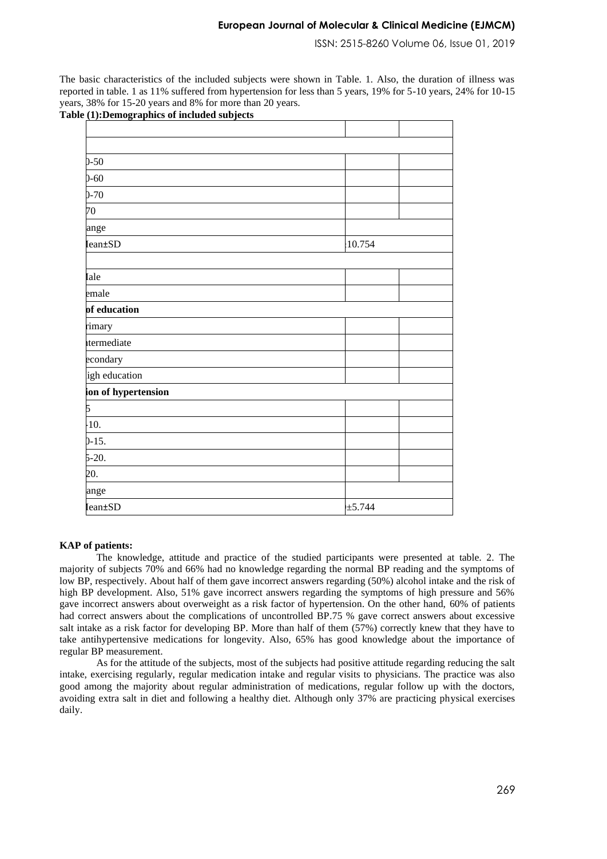ISSN: 2515-8260 Volume 06, Issue 01, 2019

The basic characteristics of the included subjects were shown in Table. 1. Also, the duration of illness was reported in table. 1 as 11% suffered from hypertension for less than 5 years, 19% for 5-10 years, 24% for 10-15 years, 38% for 15-20 years and 8% for more than 20 years. **Table (1):Demographics of included subjects** 

| $0 - 50$            |         |  |
|---------------------|---------|--|
| $0 - 60$            |         |  |
| $0 - 70$            |         |  |
| 70                  |         |  |
| ange                |         |  |
| <b>Iean±SD</b>      | :10.754 |  |
|                     |         |  |
| Iale                |         |  |
| emale               |         |  |
| of education        |         |  |
| rimary              |         |  |
| termediate          |         |  |
| econdary            |         |  |
| igh education       |         |  |
| ion of hypertension |         |  |
| 5                   |         |  |
| $-10.$              |         |  |
| $0-15.$             |         |  |
| $5-20.$             |         |  |
| 20.                 |         |  |
| ange                |         |  |
| <b>Iean±SD</b>      | ±5.744  |  |

### **KAP of patients:**

The knowledge, attitude and practice of the studied participants were presented at table. 2. The majority of subjects 70% and 66% had no knowledge regarding the normal BP reading and the symptoms of low BP, respectively. About half of them gave incorrect answers regarding (50%) alcohol intake and the risk of high BP development. Also, 51% gave incorrect answers regarding the symptoms of high pressure and 56% gave incorrect answers about overweight as a risk factor of hypertension. On the other hand, 60% of patients had correct answers about the complications of uncontrolled BP.75 % gave correct answers about excessive salt intake as a risk factor for developing BP. More than half of them (57%) correctly knew that they have to take antihypertensive medications for longevity. Also, 65% has good knowledge about the importance of regular BP measurement.

As for the attitude of the subjects, most of the subjects had positive attitude regarding reducing the salt intake, exercising regularly, regular medication intake and regular visits to physicians. The practice was also good among the majority about regular administration of medications, regular follow up with the doctors, avoiding extra salt in diet and following a healthy diet. Although only 37% are practicing physical exercises daily.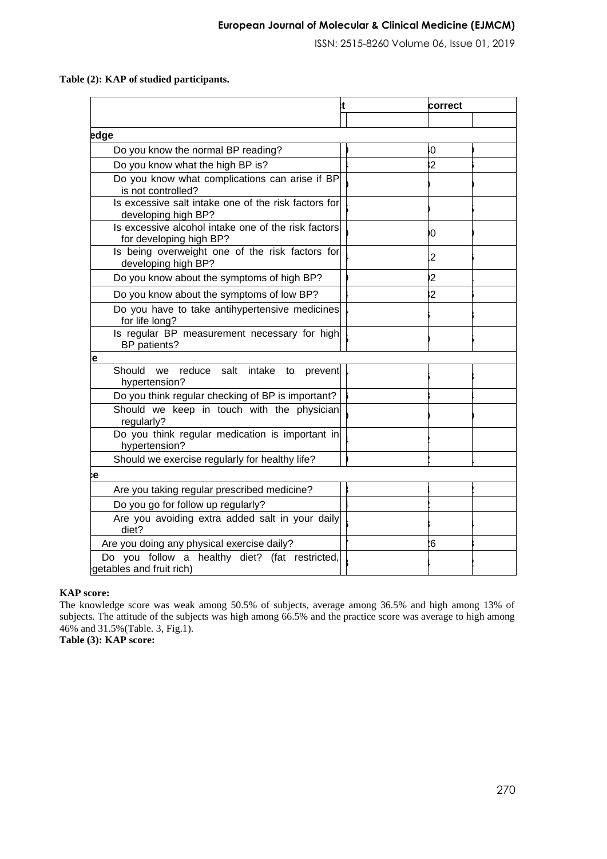ISSN: 2515-8260 Volume 06, Issue 01, 2019

# **Table (2): KAP of studied participants.**

|                                                                                | .t | correct        |
|--------------------------------------------------------------------------------|----|----------------|
|                                                                                |    |                |
| edge                                                                           |    |                |
| Do you know the normal BP reading?                                             |    | ŀО             |
| Do you know what the high BP is?                                               |    | $\overline{2}$ |
| Do you know what complications can arise if BP<br>is not controlled?           |    |                |
| Is excessive salt intake one of the risk factors for<br>developing high BP?    |    |                |
| Is excessive alcohol intake one of the risk factors<br>for developing high BP? |    | Ю              |
| Is being overweight one of the risk factors for<br>developing high BP?         |    | 2              |
| Do you know about the symptoms of high BP?                                     |    | $\overline{2}$ |
| Do you know about the symptoms of low BP?                                      |    | $\overline{2}$ |
| Do you have to take antihypertensive medicines<br>for life long?               |    |                |
| Is regular BP measurement necessary for high<br>BP patients?                   |    |                |
| e                                                                              |    |                |
| Should<br>reduce salt<br>intake<br>we<br>to<br>prevent<br>hypertension?        |    |                |
| Do you think regular checking of BP is important?                              |    |                |
| Should we keep in touch with the physician<br>regularly?                       |    |                |
| Do you think regular medication is important in<br>hypertension?               |    |                |
| Should we exercise regularly for healthy life?                                 |    |                |
| e:                                                                             |    |                |
| Are you taking regular prescribed medicine?                                    |    |                |
| Do you go for follow up regularly?                                             |    |                |
| Are you avoiding extra added salt in your daily<br>diet?                       |    |                |
| Are you doing any physical exercise daily?                                     |    | .6             |
| Do you follow a healthy diet? (fat restricted,<br>getables and fruit rich)     |    |                |

## **KAP score:**

The knowledge score was weak among 50.5% of subjects, average among 36.5% and high among 13% of subjects. The attitude of the subjects was high among 66.5% and the practice score was average to high among 46% and 31.5%(Table. 3, Fig.1).

**Table (3): KAP score:**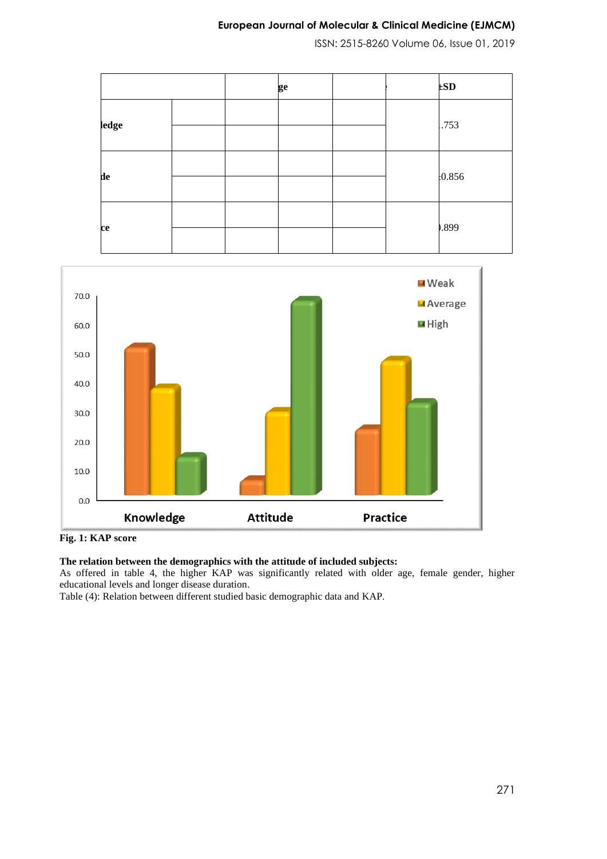ISSN: 2515-8260 Volume 06, Issue 01, 2019

|       |  | ge |  | ESD   |
|-------|--|----|--|-------|
| ledge |  |    |  | .753  |
|       |  |    |  |       |
| de    |  |    |  | 0.856 |
|       |  |    |  |       |
| ce    |  |    |  | .899  |
|       |  |    |  |       |



**Fig. 1: KAP score**

# **The relation between the demographics with the attitude of included subjects:**

As offered in table 4, the higher KAP was significantly related with older age, female gender, higher educational levels and longer disease duration.

Table (4): Relation between different studied basic demographic data and KAP.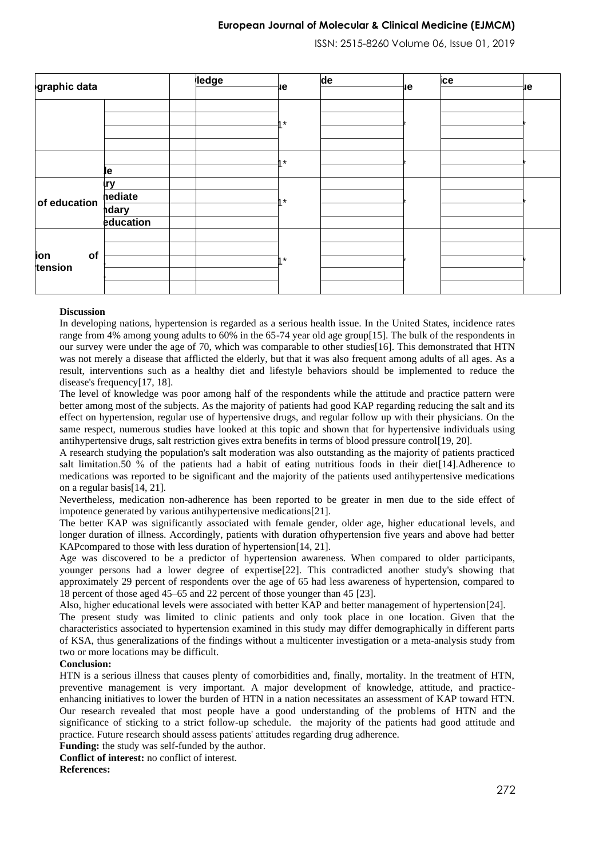ISSN: 2515-8260 Volume 06, Issue 01, 2019

| graphic data         |            |  | ledge<br>иe | de      |  | ice |  |    |
|----------------------|------------|--|-------------|---------|--|-----|--|----|
|                      |            |  |             |         |  | ıе  |  | ıе |
|                      |            |  |             | $4*$    |  |     |  |    |
|                      |            |  |             |         |  |     |  |    |
|                      |            |  |             |         |  |     |  |    |
|                      |            |  |             |         |  |     |  |    |
|                      |            |  |             | $\star$ |  |     |  |    |
|                      | le.        |  |             |         |  |     |  |    |
| of education         | <b>Irv</b> |  |             | 4*      |  |     |  |    |
|                      | hediate    |  |             |         |  |     |  |    |
|                      | hdary      |  |             |         |  |     |  |    |
|                      | education  |  |             |         |  |     |  |    |
| of<br>ion<br>tension |            |  |             | $4*$    |  |     |  |    |
|                      |            |  |             |         |  |     |  |    |
|                      |            |  |             |         |  |     |  |    |
|                      |            |  |             |         |  |     |  |    |
|                      |            |  |             |         |  |     |  |    |

#### **Discussion**

In developing nations, hypertension is regarded as a serious health issue. In the United States, incidence rates range from 4% among young adults to 60% in the 65-74 year old age group[\[15\]](#page-5-12). The bulk of the respondents in our survey were under the age of 70, which was comparable to other studies[\[16\]](#page-5-13). This demonstrated that HTN was not merely a disease that afflicted the elderly, but that it was also frequent among adults of all ages. As a result, interventions such as a healthy diet and lifestyle behaviors should be implemented to reduce the disease's frequency[\[17,](#page-5-14) [18\]](#page-5-15).

The level of knowledge was poor among half of the respondents while the attitude and practice pattern were better among most of the subjects. As the majority of patients had good KAP regarding reducing the salt and its effect on hypertension, regular use of hypertensive drugs, and regular follow up with their physicians. On the same respect, numerous studies have looked at this topic and shown that for hypertensive individuals using antihypertensive drugs, salt restriction gives extra benefits in terms of blood pressure control[\[19,](#page-5-16) [20\]](#page-5-17) .

A research studying the population's salt moderation was also outstanding as the majority of patients practiced salt limitation.50 % of the patients had a habit of eating nutritious foods in their diet[\[14\]](#page-5-11).Adherence to medications was reported to be significant and the majority of the patients used antihypertensive medications on a regular basis[\[14,](#page-5-11) [21\]](#page-5-18) .

Nevertheless, medication non-adherence has been reported to be greater in men due to the side effect of impotence generated by various antihypertensive medications[\[21\]](#page-5-18).

The better KAP was significantly associated with female gender, older age, higher educational levels, and longer duration of illness. Accordingly, patients with duration ofhypertension five years and above had better KAPcompared to those with less duration of hypertension[\[14,](#page-5-11) [21\]](#page-5-18).

Age was discovered to be a predictor of hypertension awareness. When compared to older participants, younger persons had a lower degree of expertise[\[22\]](#page-5-19). This contradicted another study's showing that approximately 29 percent of respondents over the age of 65 had less awareness of hypertension, compared to 18 percent of those aged 45–65 and 22 percent of those younger than 45 [\[23\]](#page-5-20).

Also, higher educational levels were associated with better KAP and better management of hypertension[\[24\]](#page-5-21).

The present study was limited to clinic patients and only took place in one location. Given that the characteristics associated to hypertension examined in this study may differ demographically in different parts of KSA, thus generalizations of the findings without a multicenter investigation or a meta-analysis study from two or more locations may be difficult.

### **Conclusion:**

HTN is a serious illness that causes plenty of comorbidities and, finally, mortality. In the treatment of HTN, preventive management is very important. A major development of knowledge, attitude, and practiceenhancing initiatives to lower the burden of HTN in a nation necessitates an assessment of KAP toward HTN. Our research revealed that most people have a good understanding of the problems of HTN and the significance of sticking to a strict follow-up schedule. the majority of the patients had good attitude and practice. Future research should assess patients' attitudes regarding drug adherence.

**Funding:** the study was self-funded by the author.

**Conflict of interest:** no conflict of interest.

**References:**